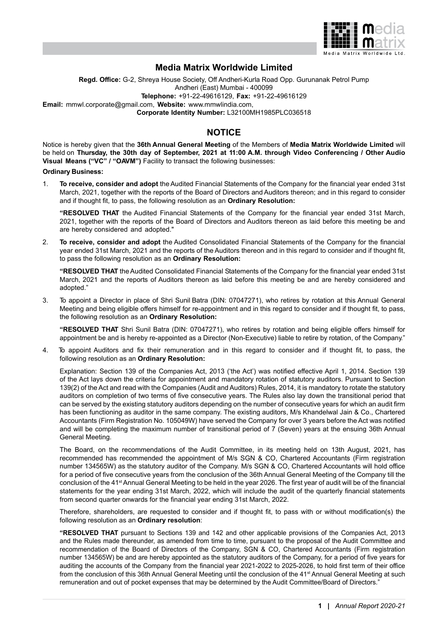

# **Media Matrix Worldwide Limited**

**Regd. Office:** G-2, Shreya House Society, Off Andheri-Kurla Road Opp. Gurunanak Petrol Pump Andheri (East) Mumbai - 400099 **Telephone:** +91-22-49616129, **Fax:** +91-22-49616129 **Email:** mmwl.corporate@gmail.com, **Website:** www.mmwlindia.com, **Corporate Identity Number:** L32100MH1985PLC036518

# **NOTICE**

Notice is hereby given that the **36th Annual General Meeting** of the Members of **Media Matrix Worldwide Limited** will be held on **Thursday, the 30th day of September, 2021 at 11:00 A.M. through Video Conferencing / Other Audio Visual Means ("VC" / "OAVM")** Facility to transact the following businesses:

**Ordinary Business:**

1. **To receive, consider and adopt** the Audited Financial Statements of the Company for the financial year ended 31st March, 2021, together with the reports of the Board of Directors and Auditors thereon; and in this regard to consider and if thought fit, to pass, the following resolution as an **Ordinary Resolution:**

**"RESOLVED THAT** the Audited Financial Statements of the Company for the financial year ended 31st March, 2021, together with the reports of the Board of Directors and Auditors thereon as laid before this meeting be and are hereby considered and adopted."

2. **To receive, consider and adopt** the Audited Consolidated Financial Statements of the Company for the financial year ended 31st March, 2021 and the reports of the Auditors thereon and in this regard to consider and if thought fit, to pass the following resolution as an **Ordinary Resolution:**

**"RESOLVED THAT** the Audited Consolidated Financial Statements of the Company for the financial year ended 31st March, 2021 and the reports of Auditors thereon as laid before this meeting be and are hereby considered and adopted."

3. To appoint a Director in place of Shri Sunil Batra (DIN: 07047271), who retires by rotation at this Annual General Meeting and being eligible offers himself for re-appointment and in this regard to consider and if thought fit, to pass, the following resolution as an **Ordinary Resolution:**

**"RESOLVED THAT** Shri Sunil Batra (DIN: 07047271), who retires by rotation and being eligible offers himself for appointment be and is hereby re-appointed as a Director (Non-Executive) liable to retire by rotation, of the Company."

4. To appoint Auditors and fix their remuneration and in this regard to consider and if thought fit, to pass, the following resolution as an **Ordinary Resolution:**

Explanation: Section 139 of the Companies Act, 2013 ('the Act') was notified effective April 1, 2014. Section 139 of the Act lays down the criteria for appointment and mandatory rotation of statutory auditors. Pursuant to Section 139(2) of the Act and read with the Companies (Audit and Auditors) Rules, 2014, it is mandatory to rotate the statutory auditors on completion of two terms of five consecutive years. The Rules also lay down the transitional period that can be served by the existing statutory auditors depending on the number of consecutive years for which an audit firm has been functioning as auditor in the same company. The existing auditors, M/s Khandelwal Jain & Co., Chartered Accountants (Firm Registration No. 105049W) have served the Company for over 3 years before the Act was notified and will be completing the maximum number of transitional period of 7 (Seven) years at the ensuing 36th Annual General Meeting.

The Board, on the recommendations of the Audit Committee, in its meeting held on 13th August, 2021, has recommended has recommended the appointment of M/s SGN & CO, Chartered Accountants (Firm registration number 134565W) as the statutory auditor of the Company. M/s SGN & CO, Chartered Accountants will hold office for a period of five consecutive years from the conclusion of the 36th Annual General Meeting of the Company till the conclusion of the 41<sup>st</sup> Annual General Meeting to be held in the year 2026. The first year of audit will be of the financial statements for the year ending 31st March, 2022, which will include the audit of the quarterly financial statements from second quarter onwards for the financial year ending 31st March, 2022.

Therefore, shareholders, are requested to consider and if thought fit, to pass with or without modification(s) the following resolution as an **Ordinary resolution**:

**"RESOLVED THAT** pursuant to Sections 139 and 142 and other applicable provisions of the Companies Act, 2013 and the Rules made thereunder, as amended from time to time, pursuant to the proposal of the Audit Committee and recommendation of the Board of Directors of the Company, SGN & CO, Chartered Accountants (Firm registration number 134565W) be and are hereby appointed as the statutory auditors of the Company, for a period of five years for auditing the accounts of the Company from the financial year 2021-2022 to 2025-2026, to hold first term of their office from the conclusion of this 36th Annual General Meeting until the conclusion of the 41<sup>st</sup> Annual General Meeting at such remuneration and out of pocket expenses that may be determined by the Audit Committee/Board of Directors."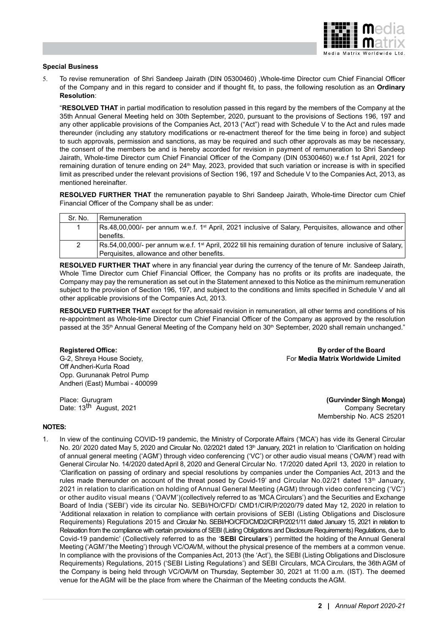

#### **Special Business**

5. To revise remuneration of Shri Sandeep Jairath (DIN 05300460) ,Whole-time Director cum Chief Financial Officer of the Company and in this regard to consider and if thought fit, to pass, the following resolution as an **Ordinary Resolution**:

"**RESOLVED THAT** in partial modification to resolution passed in this regard by the members of the Company at the 35th Annual General Meeting held on 30th September, 2020, pursuant to the provisions of Sections 196, 197 and any other applicable provisions of the Companies Act, 2013 ("Act") read with Schedule V to the Act and rules made thereunder (including any statutory modifications or re-enactment thereof for the time being in force) and subject to such approvals, permission and sanctions, as may be required and such other approvals as may be necessary, the consent of the members be and is hereby accorded for revision in payment of remuneration to Shri Sandeep Jairath, Whole-time Director cum Chief Financial Officer of the Company (DIN 05300460) w.e.f 1st April, 2021 for remaining duration of tenure ending on 24<sup>th</sup> May, 2023, provided that such variation or increase is with in specified limit as prescribed under the relevant provisions of Section 196, 197 and Schedule V to the Companies Act, 2013, as mentioned hereinafter.

**RESOLVED FURTHER THAT** the remuneration payable to Shri Sandeep Jairath, Whole-time Director cum Chief Financial Officer of the Company shall be as under:

| Sr. No. | <b>Remuneration</b>                                                                                                          |
|---------|------------------------------------------------------------------------------------------------------------------------------|
|         | $\sqrt{3}$ Rs.48,00,000/- per annum w.e.f. 1 <sup>st</sup> April, 2021 inclusive of Salary, Perguisites, allowance and other |
|         | l benefits.                                                                                                                  |
|         | Rs.54,00,000/- per annum w.e.f. 1 <sup>st</sup> April, 2022 till his remaining duration of tenure inclusive of Salary,       |
|         | Perquisites, allowance and other benefits.                                                                                   |

**RESOLVED FURTHER THAT** where in any financial year during the currency of the tenure of Mr. Sandeep Jairath, Whole Time Director cum Chief Financial Officer, the Company has no profits or its profits are inadequate, the Company may pay the remuneration as set out in the Statement annexed to this Notice as the minimum remuneration subject to the provision of Section 196, 197, and subject to the conditions and limits specified in Schedule V and all other applicable provisions of the Companies Act, 2013.

**RESOLVED FURTHER THAT** except for the aforesaid revision in remuneration, all other terms and conditions of his re-appointment as Whole-time Director cum Chief Financial Officer of the Company as approved by the resolution passed at the 35<sup>th</sup> Annual General Meeting of the Company held on 30<sup>th</sup> September, 2020 shall remain unchanged."

Off Andheri-Kurla Road Opp. Gurunanak Petrol Pump Andheri (East) Mumbai - 400099

Place: Gurugram **(Gurvinder Singh Monga)** 

**Registered Office: By order of the Board** G-2, Shreya House Society, For **Media Matrix Worldwide Limited**

Date: 13<sup>th</sup> August, 2021 Company Secretary Membership No. ACS 25201

#### **NOTES:**

1. In view of the continuing COVID-19 pandemic, the Ministry of Corporate Affairs ('MCA') has vide its General Circular No. 20/ 2020 dated May 5, 2020 and Circular No. 02/2021 dated 13<sup>th</sup> January, 2021 in relation to 'Clarification on holding of annual general meeting ('AGM') through video conferencing ('VC') or other audio visual means ('OAVM') read with General Circular No. 14/2020 dated April 8, 2020 and General Circular No. 17/2020 dated April 13, 2020 in relation to 'Clarification on passing of ordinary and special resolutions by companies under the Companies Act, 2013 and the rules made thereunder on account of the threat posed by Covid-19' and Circular No.02/21 dated 13<sup>th</sup> January, 2021 in relation to clarification on holding of Annual General Meeting (AGM) through video conferencing ('VC') or other audito visual means ('OAVM')(collectively referred to as 'MCA Circulars') and the Securities and Exchange Board of India ('SEBI') vide its circular No. SEBI/HO/CFD/ CMD1/CIR/P/2020/79 dated May 12, 2020 in relation to 'Additional relaxation in relation to compliance with certain provisions of SEBI (Listing Obligations and Disclosure Requirements) Regulations 2015 and Circular No. SEBI/HO/CFD/CMD2/CIR/P/2021/11 dated January 15, 2021 in relation to Relaxation from the compliance with certain provisions of SEBI (Listing Obligations and Disclosure Requirements) Regulations, due to Covid-19 pandemic' (Collectively referred to as the '**SEBI Circulars**') permitted the holding of the Annual General Meeting ('AGM'/'the Meeting') through VC/OAVM, without the physical presence of the members at a common venue. In compliance with the provisions of the Companies Act, 2013 (the 'Act'), the SEBI (Listing Obligations and Disclosure Requirements) Regulations, 2015 ('SEBI Listing Regulations') and SEBI Circulars, MCA Circulars, the 36th AGM of the Company is being held through VC/OAVM on Thursday, September 30, 2021 at 11:00 a.m. (IST). The deemed venue for the AGM will be the place from where the Chairman of the Meeting conducts the AGM.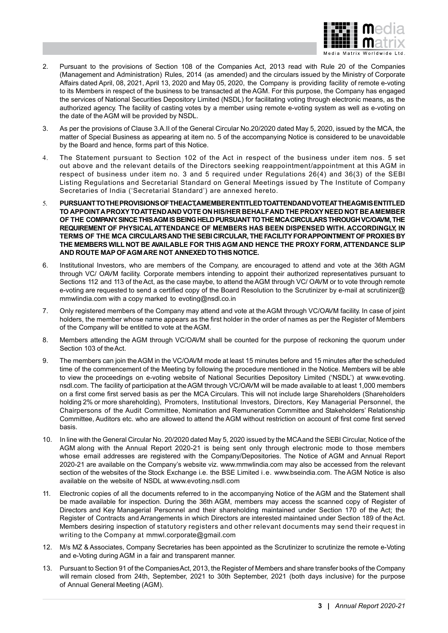

- 2. Pursuant to the provisions of Section 108 of the Companies Act, 2013 read with Rule 20 of the Companies (Management and Administration) Rules, 2014 (as amended) and the circulars issued by the Ministry of Corporate Affairs dated April, 08, 2021, April 13, 2020 and May 05, 2020, the Company is providing facility of remote e-voting to its Members in respect of the business to be transacted at the AGM. For this purpose, the Company has engaged the services of National Securities Depository Limited (NSDL) for facilitating voting through electronic means, as the authorized agency. The facility of casting votes by a member using remote e-voting system as well as e-voting on the date of the AGM will be provided by NSDL.
- 3. As per the provisions of Clause 3.A.II of the General Circular No.20/2020 dated May 5, 2020, issued by the MCA, the matter of Special Business as appearing at item no. 5 of the accompanying Notice is considered to be unavoidable by the Board and hence, forms part of this Notice.
- 4. The Statement pursuant to Section 102 of the Act in respect of the business under item nos. 5 set out above and the relevant details of the Directors seeking reappointment/appointment at this AGM in respect of business under item no. 3 and 5 required under Regulations 26(4) and 36(3) of the SEBI Listing Regulations and Secretarial Standard on General Meetings issued by The Institute of Company Secretaries of India ('Secretarial Standard') are annexed hereto.
- 5. **PURSUANT TO THE PROVISIONS OF THE ACT, A MEMBER ENTITLED TO ATTEND AND VOTE AT THE AGM IS ENTITLED TO APPOINT A PROXY TO ATTEND AND VOTE ON HIS/HER BEHALF AND THE PROXY NEED NOT BE A MEMBER OF THE COMPANY. SINCE THIS AGM IS BEING HELD PURSUANT TO THE MCACIRCULARS THROUGH VC/OAVM, THE REQUIREMENT OF PHYSICAL ATTENDANCE OF MEMBERS HAS BEEN DISPENSED WITH. ACCORDINGLY, IN TERMS OF THE MCA CIRCULARS AND THE SEBI CIRCULAR, THE FACILITY FOR APPOINTMENT OF PROXIES BY THE MEMBERS WILL NOT BE AVAILABLE FOR THIS AGM AND HENCE THE PROXY FORM, ATTENDANCE SLIP AND ROUTE MAP OF AGM ARE NOT ANNEXED TO THIS NOTICE.**
- 6. Institutional Investors, who are members of the Company, are encouraged to attend and vote at the 36th AGM through VC/ OAVM facility. Corporate members intending to appoint their authorized representatives pursuant to Sections 112 and 113 of the Act, as the case maybe, to attend the AGM through VC/ OAVM or to vote through remote e-voting are requested to send a certified copy of the Board Resolution to the Scrutinizer by e-mail at scrutinizer@ mmwlindia.com with a copy marked to evoting@nsdl.co.in
- 7. Only registered members of the Company may attend and vote at the AGM through VC/OAVM facility. In case of joint holders, the member whose name appears as the first holder in the order of names as per the Register of Members of the Company will be entitled to vote at the AGM.
- 8. Members attending the AGM through VC/OAVM shall be counted for the purpose of reckoning the quorum under Section 103 of the Act.
- 9. The members can join the AGM in the VC/OAVM mode at least 15 minutes before and 15 minutes after the scheduled time of the commencement of the Meeting by following the procedure mentioned in the Notice. Members will be able to view the proceedings on e-voting website of National Securities Depository Limited ('NSDL') at www.evoting. nsdl.com. The facility of participation at the AGM through VC/OAVM will be made available to at least 1,000 members on a first come first served basis as per the MCA Circulars. This will not include large Shareholders (Shareholders holding 2% or more shareholding), Promoters, Institutional Investors, Directors, Key Managerial Personnel, the Chairpersons of the Audit Committee, Nomination and Remuneration Committee and Stakeholders' Relationship Committee, Auditors etc. who are allowed to attend the AGM without restriction on account of first come first served basis.
- 10. In line with the General Circular No. 20/2020 dated May 5, 2020 issued by the MCA and the SEBI Circular, Notice of the AGM along with the Annual Report 2020-21 is being sent only through electronic mode to those members whose email addresses are registered with the Company/Depositories. The Notice of AGM and Annual Report 2020-21 are available on the Company's website viz. www.mmwlindia.com may also be accessed from the relevant section of the websites of the Stock Exchange i.e. the BSE Limited i.e. www.bseindia.com. The AGM Notice is also available on the website of NSDL at www.evoting.nsdl.com
- 11. Electronic copies of all the documents referred to in the accompanying Notice of the AGM and the Statement shall be made available for inspection. During the 36th AGM, members may access the scanned copy of Register of Directors and Key Managerial Personnel and their shareholding maintained under Section 170 of the Act; the Register of Contracts and Arrangements in which Directors are interested maintained under Section 189 of the Act. Members desiring inspection of statutory registers and other relevant documents may send their request in writing to the Company at mmwl.corporate@gmail.com
- 12. M/s MZ & Associates, Company Secretaries has been appointed as the Scrutinizer to scrutinize the remote e-Voting and e-Voting during AGM in a fair and transparent manner.
- 13. Pursuant to Section 91 of the Companies Act, 2013, the Register of Members and share transfer books of the Company will remain closed from 24th, September, 2021 to 30th September, 2021 (both days inclusive) for the purpose of Annual General Meeting (AGM).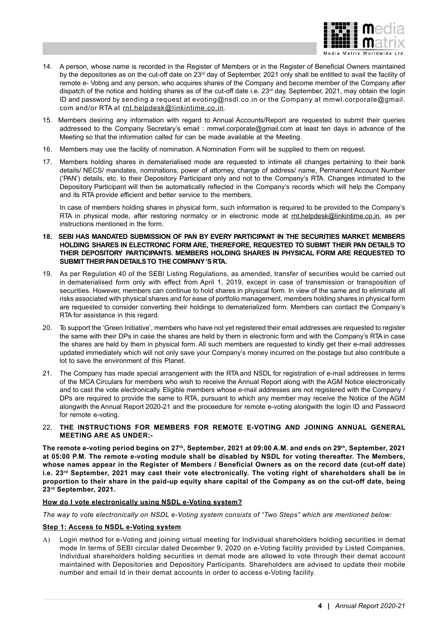

- 14. A person, whose name is recorded in the Register of Members or in the Register of Beneficial Owners maintained by the depositories as on the cut-off date on 23<sup>rd</sup> day of September, 2021 only shall be entitled to avail the facility of remote e- Voting and any person, who acquires shares of the Company and become member of the Company after dispatch of the notice and holding shares as of the cut-off date i.e. 23<sup>rd</sup> day, September, 2021, may obtain the login ID and password by sending a request at evoting@nsdl.co.in or the Company at mmwl.corporate@gmail. com and/or RTA at rnt.helpdesk@linkintime.co.in.
- 15. Members desiring any information with regard to Annual Accounts/Report are requested to submit their queries addressed to the Company Secretary's email : mmwl.corporate@gmail.com at least ten days in advance of the Meeting so that the information called for can be made available at the Meeting.
- 16. Members may use the facility of nomination. A Nomination Form will be supplied to them on request.
- 17. Members holding shares in dematerialised mode are requested to intimate all changes pertaining to their bank details/ NECS/ mandates, nominations, power of attorney, change of address/ name, Permanent Account Number ('PAN') details, etc. to their Depository Participant only and not to the Company's RTA. Changes intimated to the Depository Participant will then be automatically reflected in the Company's records which will help the Company and its RTA provide efficient and better service to the members.

In case of members holding shares in physical form, such information is required to be provided to the Company's RTA in physical mode, after restoring normalcy or in electronic mode at rnt.helpdesk@linkintime.co.in, as per instructions mentioned in the form.

- **18. SEBI HAS MANDATED SUBMISSION OF PAN BY EVERY PARTICIPANT IN THE SECURITIES MARKET. MEMBERS HOLDING SHARES IN ELECTRONIC FORM ARE, THEREFORE, REQUESTED TO SUBMIT THEIR PAN DETAILS TO THEIR DEPOSITORY PARTICIPANTS. MEMBERS HOLDING SHARES IN PHYSICAL FORM ARE REQUESTED TO SUBMIT THEIR PAN DETAILS TO THE COMPANY 'S RTA.**
- 19. As per Regulation 40 of the SEBI Listing Regulations, as amended, transfer of securities would be carried out in dematerialised form only with effect from April 1, 2019, except in case of transmission or transposition of securities. However, members can continue to hold shares in physical form. In view of the same and to eliminate all risks associated with physical shares and for ease of portfolio management, members holding shares in physical form are requested to consider converting their holdings to dematerialized form. Members can contact the Company's RTA for assistance in this regard.
- 20. To support the 'Green Initiative', members who have not yet registered their email addresses are requested to register the same with their DPs in case the shares are held by them in electronic form and with the Company's RTA in case the shares are held by them in physical form. All such members are requested to kindly get their e-mail addresses updated immediately which will not only save your Company's money incurred on the postage but also contribute a lot to save the environment of this Planet.
- 21. The Company has made special arrangement with the RTA and NSDL for registration of e-mail addresses in terms of the MCA Circulars for members who wish to receive the Annual Report along with the AGM Notice electronically and to cast the vote electronically. Eligible members whose e-mail addresses are not registered with the Company / DPs are required to provide the same to RTA, pursuant to which any member may receive the Notice of the AGM alongwith the Annual Report 2020-21 and the proceedure for remote e-voting alongwith the login ID and Password for remote e-voting.

## 22. **THE INSTRUCTIONS FOR MEMBERS FOR REMOTE E-VOTING AND JOINING ANNUAL GENERAL MEETING ARE AS UNDER:-**

**The remote e-voting period begins on 27th, September, 2021 at 09:00 A.M. and ends on 29th, September, 2021 at 05:00 P.M. The remote e-voting module shall be disabled by NSDL for voting thereafter. The Members, whose names appear in the Register of Members / Beneficial Owners as on the record date (cut-off date) i.e. 23rd September, 2021 may cast their vote electronically. The voting right of shareholders shall be in proportion to their share in the paid-up equity share capital of the Company as on the cut-off date, being 23rd September, 2021.**

## **How do I vote electronically using NSDL e-Voting system?**

*The way to vote electronically on NSDL e-Voting system consists of "Two Steps" which are mentioned below:*

## **Step 1: Access to NSDL e-Voting system**

A) Login method for e-Voting and joining virtual meeting for Individual shareholders holding securities in demat mode In terms of SEBI circular dated December 9, 2020 on e-Voting facility provided by Listed Companies, Individual shareholders holding securities in demat mode are allowed to vote through their demat account maintained with Depositories and Depository Participants. Shareholders are advised to update their mobile number and email Id in their demat accounts in order to access e-Voting facility.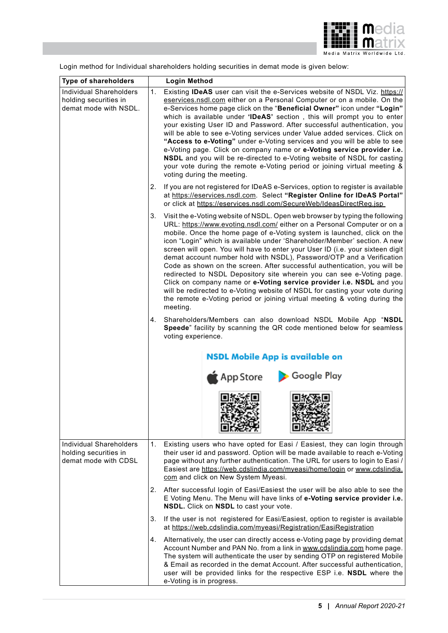

**Type of shareholders Login Method** Individual Shareholders 1. Existing **IDeAS** user can visit the e-Services website of NSDL Viz. https:// holding securities in eservices.nsdl.com either on a Personal Computer or on a mobile. On the demat mode with NSDL. e-Services home page click on the "**Beneficial Owner"** icon under **"Login"** which is available under **'IDeAS'** section , this will prompt you to enter your existing User ID and Password. After successful authentication, you will be able to see e-Voting services under Value added services. Click on **"Access to e-Voting"** under e-Voting services and you will be able to see e-Voting page. Click on company name or **e-Voting service provider i.e. NSDL** and you will be re-directed to e-Voting website of NSDL for casting your vote during the remote e-Voting period or joining virtual meeting & voting during the meeting. 2. If you are not registered for IDeAS e-Services, option to register is available at https://eservices.nsdl.com. Select **"Register Online for IDeAS Portal"** or click at https://eservices.nsdl.com/SecureWeb/IdeasDirectReg.jsp 3. Visit the e-Voting website of NSDL. Open web browser by typing the following URL: https://www.evoting.nsdl.com/ either on a Personal Computer or on a mobile. Once the home page of e-Voting system is launched, click on the icon "Login" which is available under 'Shareholder/Member' section. A new screen will open. You will have to enter your User ID (i.e. your sixteen digit demat account number hold with NSDL), Password/OTP and a Verification Code as shown on the screen. After successful authentication, you will be redirected to NSDL Depository site wherein you can see e-Voting page. Click on company name or **e-Voting service provider i.e. NSDL** and you will be redirected to e-Voting website of NSDL for casting your vote during the remote e-Voting period or joining virtual meeting & voting during the meeting. 4. Shareholders/Members can also download NSDL Mobile App "**NSDL Speede**" facility by scanning the QR code mentioned below for seamless voting experience. **NSDL Mobile App is available on** App Store Google Play Individual Shareholders 1. Existing users who have opted for Easi / Easiest, they can login through holding securities in their user id and password. Option will be made available to reach e-Voting demat mode with CDSL page without any further authentication. The URL for users to login to Easi / Easiest are https://web.cdslindia.com/myeasi/home/login or www.cdslindia. com and click on New System Myeasi. 2. After successful login of Easi/Easiest the user will be also able to see the E Voting Menu. The Menu will have links of **e-Voting service provider i.e. NSDL.** Click on **NSDL** to cast your vote. 3. If the user is not registered for Easi/Easiest, option to register is available at https://web.cdslindia.com/myeasi/Registration/EasiRegistration 4. Alternatively, the user can directly access e-Voting page by providing demat Account Number and PAN No. from a link in www.cdslindia.com home page. The system will authenticate the user by sending OTP on registered Mobile & Email as recorded in the demat Account. After successful authentication, user will be provided links for the respective ESP i.e. **NSDL** where the e-Voting is in progress.

Login method for Individual shareholders holding securities in demat mode is given below: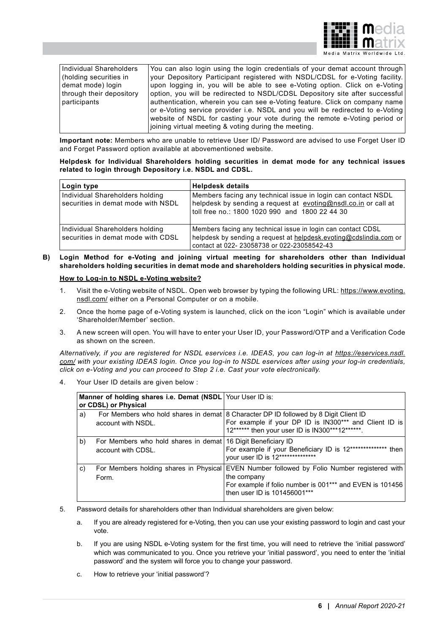

|  |  | Media Matrix Worldwide Ltd. |  |
|--|--|-----------------------------|--|
|--|--|-----------------------------|--|

| You can also login using the login credentials of your demat account through  |
|-------------------------------------------------------------------------------|
| your Depository Participant registered with NSDL/CDSL for e-Voting facility.  |
| upon logging in, you will be able to see e-Voting option. Click on e-Voting   |
| option, you will be redirected to NSDL/CDSL Depository site after successful  |
| authentication, wherein you can see e-Voting feature. Click on company name   |
| or e-Voting service provider i.e. NSDL and you will be redirected to e-Voting |
| website of NSDL for casting your vote during the remote e-Voting period or    |
| joining virtual meeting & voting during the meeting.                          |
|                                                                               |

**Important note:** Members who are unable to retrieve User ID/ Password are advised to use Forget User ID and Forget Password option available at abovementioned website.

#### **Helpdesk for Individual Shareholders holding securities in demat mode for any technical issues related to login through Depository i.e. NSDL and CDSL.**

| Login type                                                            | <b>Helpdesk details</b>                                                                                                                                                           |
|-----------------------------------------------------------------------|-----------------------------------------------------------------------------------------------------------------------------------------------------------------------------------|
| Individual Shareholders holding<br>securities in demat mode with NSDL | Members facing any technical issue in login can contact NSDL<br>helpdesk by sending a request at evoting@nsdl.co.in or call at<br>toll free no.: 1800 1020 990 and 1800 22 44 30  |
| Individual Shareholders holding<br>securities in demat mode with CDSL | Members facing any technical issue in login can contact CDSL<br>helpdesk by sending a request at helpdesk.evoting@cdslindia.com or<br>contact at 022- 23058738 or 022-23058542-43 |

## **B) Login Method for e-Voting and joining virtual meeting for shareholders other than Individual shareholders holding securities in demat mode and shareholders holding securities in physical mode.**

### **How to Log-in to NSDL e-Voting website?**

- 1. Visit the e-Voting website of NSDL. Open web browser by typing the following URL: https://www.evoting. nsdl.com/ either on a Personal Computer or on a mobile.
- 2. Once the home page of e-Voting system is launched, click on the icon "Login" which is available under 'Shareholder/Member' section.
- 3. A new screen will open. You will have to enter your User ID, your Password/OTP and a Verification Code as shown on the screen.

*Alternatively, if you are registered for NSDL eservices i.e. IDEAS, you can log-in at https://eservices.nsdl. com/ with your existing IDEAS login. Once you log-in to NSDL eservices after using your log-in credentials, click on e-Voting and you can proceed to Step 2 i.e. Cast your vote electronically.*

4. Your User ID details are given below :

| Manner of holding shares i.e. Demat (NSDL Your User ID is:<br>or CDSL) or Physical |                                                                                    |                                                                                                                                                                                                        |
|------------------------------------------------------------------------------------|------------------------------------------------------------------------------------|--------------------------------------------------------------------------------------------------------------------------------------------------------------------------------------------------------|
| a)                                                                                 | account with NSDL.                                                                 | For Members who hold shares in demat 8 Character DP ID followed by 8 Digit Client ID<br>For example if your DP ID is IN300*** and Client ID is<br>12****** then your user ID is IN300***12******.      |
| b)                                                                                 | For Members who hold shares in demat 16 Digit Beneficiary ID<br>account with CDSL. | For example if your Beneficiary ID is 12************** then<br>your user ID is 12***************                                                                                                       |
| c)                                                                                 | Form.                                                                              | For Members holding shares in Physical EVEN Number followed by Folio Number registered with<br>the company<br>For example if folio number is 001*** and EVEN is 101456<br>then user ID is 101456001*** |

- 5. Password details for shareholders other than Individual shareholders are given below:
	- a. If you are already registered for e-Voting, then you can use your existing password to login and cast your vote.
	- b. If you are using NSDL e-Voting system for the first time, you will need to retrieve the 'initial password' which was communicated to you. Once you retrieve your 'initial password', you need to enter the 'initial password' and the system will force you to change your password.
	- c. How to retrieve your 'initial password'?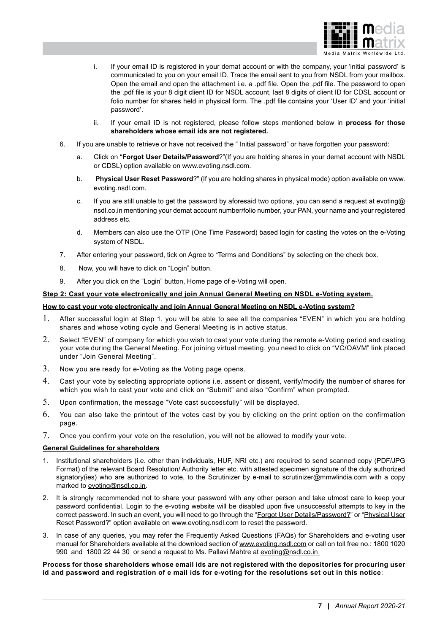

- i. If your email ID is registered in your demat account or with the company, your 'initial password' is communicated to you on your email ID. Trace the email sent to you from NSDL from your mailbox. Open the email and open the attachment i.e. a .pdf file. Open the .pdf file. The password to open the .pdf file is your 8 digit client ID for NSDL account, last 8 digits of client ID for CDSL account or folio number for shares held in physical form. The .pdf file contains your 'User ID' and your 'initial password'.
- ii. If your email ID is not registered, please follow steps mentioned below in **process for those shareholders whose email ids are not registered.**
- 6. If you are unable to retrieve or have not received the " Initial password" or have forgotten your password:
	- a. Click on "**Forgot User Details/Password**?"(If you are holding shares in your demat account with NSDL or CDSL) option available on www.evoting.nsdl.com.
	- b. **Physical User Reset Password**?" (If you are holding shares in physical mode) option available on www. evoting.nsdl.com.
	- c. If you are still unable to get the password by aforesaid two options, you can send a request at evoting@ nsdl.co.in mentioning your demat account number/folio number, your PAN, your name and your registered address etc.
	- d. Members can also use the OTP (One Time Password) based login for casting the votes on the e-Voting system of NSDL.
- 7. After entering your password, tick on Agree to "Terms and Conditions" by selecting on the check box.
- 8. Now, you will have to click on "Login" button.
- 9. After you click on the "Login" button, Home page of e-Voting will open.

## **Step 2: Cast your vote electronically and join Annual General Meeting on NSDL e-Voting system.**

### **How to cast your vote electronically and join Annual General Meeting on NSDL e-Voting system?**

- 1. After successful login at Step 1, you will be able to see all the companies "EVEN" in which you are holding shares and whose voting cycle and General Meeting is in active status.
- 2. Select "EVEN" of company for which you wish to cast your vote during the remote e-Voting period and casting your vote during the General Meeting. For joining virtual meeting, you need to click on "VC/OAVM" link placed under "Join General Meeting".
- $3.$  Now you are ready for e-Voting as the Voting page opens.
- 4. Cast your vote by selecting appropriate options i.e. assent or dissent, verify/modify the number of shares for which you wish to cast your vote and click on "Submit" and also "Confirm" when prompted.
- 5. Upon confirmation, the message "Vote cast successfully" will be displayed.
- 6. You can also take the printout of the votes cast by you by clicking on the print option on the confirmation page.
- 7. Once you confirm your vote on the resolution, you will not be allowed to modify your vote.

## **General Guidelines for shareholders**

- 1. Institutional shareholders (i.e. other than individuals, HUF, NRI etc.) are required to send scanned copy (PDF/JPG Format) of the relevant Board Resolution/ Authority letter etc. with attested specimen signature of the duly authorized signatory(ies) who are authorized to vote, to the Scrutinizer by e-mail to scrutinizer@mmwlindia.com with a copy marked to evoting@nsdl.co.in.
- 2. It is strongly recommended not to share your password with any other person and take utmost care to keep your password confidential. Login to the e-voting website will be disabled upon five unsuccessful attempts to key in the correct password. In such an event, you will need to go through the "Forgot User Details/Password?" or "Physical User Reset Password?" option available on www.evoting.nsdl.com to reset the password.
- 3. In case of any queries, you may refer the Frequently Asked Questions (FAQs) for Shareholders and e-voting user manual for Shareholders available at the download section of www.evoting.nsdl.com or call on toll free no.: 1800 1020 990 and 1800 22 44 30 or send a request to Ms. Pallavi Mahtre at evoting@nsdl.co.in

### **Process for those shareholders whose email ids are not registered with the depositories for procuring user id and password and registration of e mail ids for e-voting for the resolutions set out in this notice**: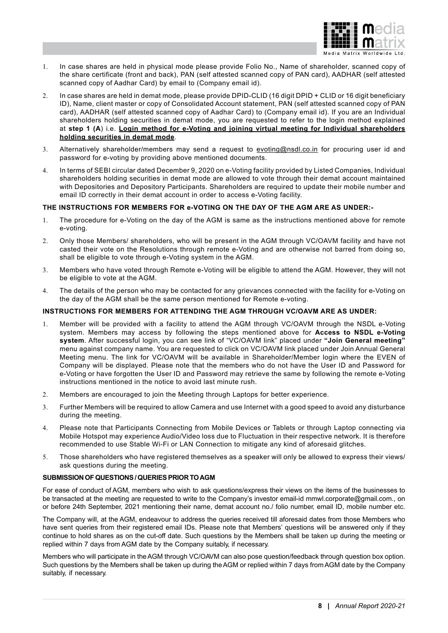

- 1. In case shares are held in physical mode please provide Folio No., Name of shareholder, scanned copy of the share certificate (front and back), PAN (self attested scanned copy of PAN card), AADHAR (self attested scanned copy of Aadhar Card) by email to (Company email id).
- 2. In case shares are held in demat mode, please provide DPID-CLID (16 digit DPID + CLID or 16 digit beneficiary ID), Name, client master or copy of Consolidated Account statement, PAN (self attested scanned copy of PAN card), AADHAR (self attested scanned copy of Aadhar Card) to (Company email id). If you are an Individual shareholders holding securities in demat mode, you are requested to refer to the login method explained at **step 1 (A**) i.e. **Login method for e-Voting and joining virtual meeting for Individual shareholders holding securities in demat mode**.
- 3. Alternatively shareholder/members may send a request to evoting@nsdl.co.in for procuring user id and password for e-voting by providing above mentioned documents.
- 4. In terms of SEBI circular dated December 9, 2020 on e-Voting facility provided by Listed Companies, Individual shareholders holding securities in demat mode are allowed to vote through their demat account maintained with Depositories and Depository Participants. Shareholders are required to update their mobile number and email ID correctly in their demat account in order to access e-Voting facility.

## **THE INSTRUCTIONS FOR MEMBERS FOR e-VOTING ON THE DAY OF THE AGM ARE AS UNDER:-**

- 1. The procedure for e-Voting on the day of the AGM is same as the instructions mentioned above for remote e-voting.
- 2. Only those Members/ shareholders, who will be present in the AGM through VC/OAVM facility and have not casted their vote on the Resolutions through remote e-Voting and are otherwise not barred from doing so, shall be eligible to vote through e-Voting system in the AGM.
- 3. Members who have voted through Remote e-Voting will be eligible to attend the AGM. However, they will not be eligible to vote at the AGM.
- 4. The details of the person who may be contacted for any grievances connected with the facility for e-Voting on the day of the AGM shall be the same person mentioned for Remote e-voting.

## **INSTRUCTIONS FOR MEMBERS FOR ATTENDING THE AGM THROUGH VC/OAVM ARE AS UNDER:**

- 1. Member will be provided with a facility to attend the AGM through VC/OAVM through the NSDL e-Voting system. Members may access by following the steps mentioned above for **Access to NSDL e-Voting system**. After successful login, you can see link of "VC/OAVM link" placed under **"Join General meeting"** menu against company name. You are requested to click on VC/OAVM link placed under Join Annual General Meeting menu. The link for VC/OAVM will be available in Shareholder/Member login where the EVEN of Company will be displayed. Please note that the members who do not have the User ID and Password for e-Voting or have forgotten the User ID and Password may retrieve the same by following the remote e-Voting instructions mentioned in the notice to avoid last minute rush.
- 2. Members are encouraged to join the Meeting through Laptops for better experience.
- 3. Further Members will be required to allow Camera and use Internet with a good speed to avoid any disturbance during the meeting.
- 4. Please note that Participants Connecting from Mobile Devices or Tablets or through Laptop connecting via Mobile Hotspot may experience Audio/Video loss due to Fluctuation in their respective network. It is therefore recommended to use Stable Wi-Fi or LAN Connection to mitigate any kind of aforesaid glitches.
- 5. Those shareholders who have registered themselves as a speaker will only be allowed to express their views/ ask questions during the meeting.

## **SUBMISSION OF QUESTIONS / QUERIES PRIOR TO AGM**

For ease of conduct of AGM, members who wish to ask questions/express their views on the items of the businesses to be transacted at the meeting are requested to write to the Company's investor email-id mmwl.corporate@gmail.com., on or before 24th September, 2021 mentioning their name, demat account no./ folio number, email ID, mobile number etc.

The Company will, at the AGM, endeavour to address the queries received till aforesaid dates from those Members who have sent queries from their registered email IDs. Please note that Members' questions will be answered only if they continue to hold shares as on the cut-off date. Such questions by the Members shall be taken up during the meeting or replied within 7 days from AGM date by the Company suitably, if necessary.

Members who will participate in the AGM through VC/OAVM can also pose question/feedback through question box option. Such questions by the Members shall be taken up during the AGM or replied within 7 days from AGM date by the Company suitably, if necessary.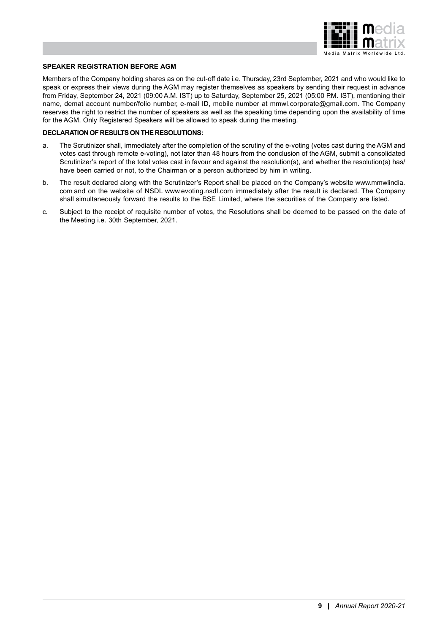

## **SPEAKER REGISTRATION BEFORE AGM**

Members of the Company holding shares as on the cut-off date i.e. Thursday, 23rd September, 2021 and who would like to speak or express their views during the AGM may register themselves as speakers by sending their request in advance from Friday, September 24, 2021 (09:00 A.M. IST) up to Saturday, September 25, 2021 (05:00 P.M. IST), mentioning their name, demat account number/folio number, e-mail ID, mobile number at mmwl.corporate@gmail.com. The Company reserves the right to restrict the number of speakers as well as the speaking time depending upon the availability of time for the AGM. Only Registered Speakers will be allowed to speak during the meeting.

#### **DECLARATION OF RESULTS ON THE RESOLUTIONS:**

- a. The Scrutinizer shall, immediately after the completion of the scrutiny of the e-voting (votes cast during the AGM and votes cast through remote e-voting), not later than 48 hours from the conclusion of the AGM, submit a consolidated Scrutinizer's report of the total votes cast in favour and against the resolution(s), and whether the resolution(s) has/ have been carried or not, to the Chairman or a person authorized by him in writing.
- b. The result declared along with the Scrutinizer's Report shall be placed on the Company's website www.mmwlindia. com and on the website of NSDL www.evoting.nsdl.com immediately after the result is declared. The Company shall simultaneously forward the results to the BSE Limited, where the securities of the Company are listed.
- c. Subject to the receipt of requisite number of votes, the Resolutions shall be deemed to be passed on the date of the Meeting i.e. 30th September, 2021.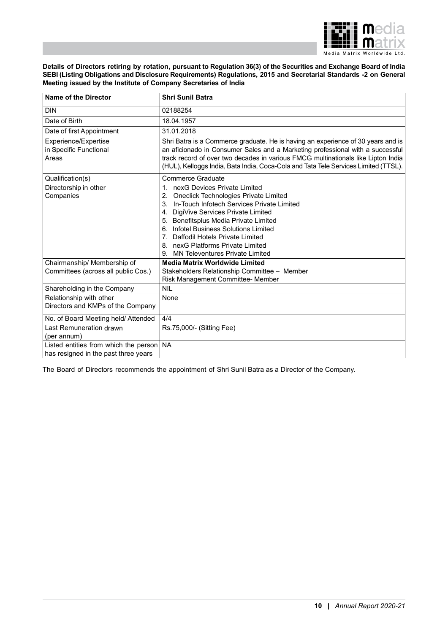

**Details of Directors retiring by rotation, pursuant to Regulation 36(3) of the Securities and Exchange Board of India SEBI (Listing Obligations and Disclosure Requirements) Regulations, 2015 and Secretarial Standards -2 on General Meeting issued by the Institute of Company Secretaries of India**

| <b>Name of the Director</b>                                                   | <b>Shri Sunil Batra</b>                                                                                                                                                                                                                                                                                                                                                                                           |
|-------------------------------------------------------------------------------|-------------------------------------------------------------------------------------------------------------------------------------------------------------------------------------------------------------------------------------------------------------------------------------------------------------------------------------------------------------------------------------------------------------------|
| <b>DIN</b>                                                                    | 02188254                                                                                                                                                                                                                                                                                                                                                                                                          |
| Date of Birth                                                                 | 18.04.1957                                                                                                                                                                                                                                                                                                                                                                                                        |
| Date of first Appointment                                                     | 31.01.2018                                                                                                                                                                                                                                                                                                                                                                                                        |
| Experience/Expertise<br>in Specific Functional<br>Areas                       | Shri Batra is a Commerce graduate. He is having an experience of 30 years and is<br>an aficionado in Consumer Sales and a Marketing professional with a successful<br>track record of over two decades in various FMCG multinationals like Lipton India<br>(HUL), Kelloggs India, Bata India, Coca-Cola and Tata Tele Services Limited (TTSL).                                                                    |
| Qualification(s)                                                              | Commerce Graduate                                                                                                                                                                                                                                                                                                                                                                                                 |
| Directorship in other<br>Companies                                            | nexG Devices Private Limited<br>1 <sup>1</sup><br>Oneclick Technologies Private Limited<br>2.<br>In-Touch Infotech Services Private Limited<br>3.<br>4. DigiVive Services Private Limited<br>5. Benefitsplus Media Private Limited<br>Infotel Business Solutions Limited<br>6.<br>Daffodil Hotels Private Limited<br>$7_{-}$<br>8. nexG Platforms Private Limited<br><b>MN Televentures Private Limited</b><br>9. |
| Chairmanship/ Membership of                                                   | <b>Media Matrix Worldwide Limited</b>                                                                                                                                                                                                                                                                                                                                                                             |
| Committees (across all public Cos.)                                           | Stakeholders Relationship Committee - Member<br>Risk Management Committee- Member                                                                                                                                                                                                                                                                                                                                 |
| Shareholding in the Company                                                   | NII                                                                                                                                                                                                                                                                                                                                                                                                               |
| Relationship with other                                                       | None                                                                                                                                                                                                                                                                                                                                                                                                              |
| Directors and KMPs of the Company                                             |                                                                                                                                                                                                                                                                                                                                                                                                                   |
| No. of Board Meeting held/ Attended                                           | 4/4                                                                                                                                                                                                                                                                                                                                                                                                               |
| Last Remuneration drawn<br>(per annum)                                        | Rs.75,000/- (Sitting Fee)                                                                                                                                                                                                                                                                                                                                                                                         |
| Listed entities from which the person<br>has resigned in the past three years | <b>NA</b>                                                                                                                                                                                                                                                                                                                                                                                                         |

The Board of Directors recommends the appointment of Shri Sunil Batra as a Director of the Company.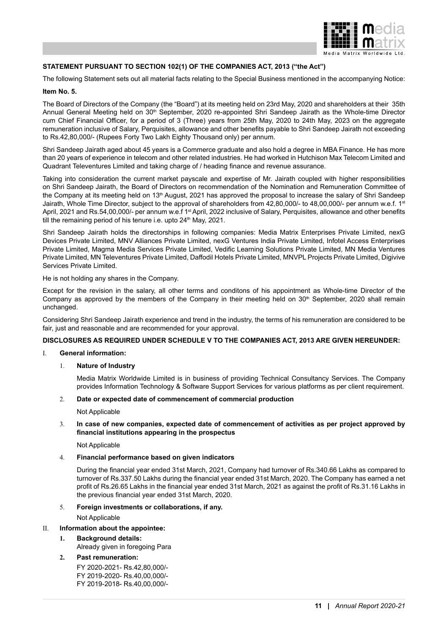

## **STATEMENT PURSUANT TO SECTION 102(1) OF THE COMPANIES ACT, 2013 ("the Act")**

The following Statement sets out all material facts relating to the Special Business mentioned in the accompanying Notice:

#### **Item No. 5.**

The Board of Directors of the Company (the "Board") at its meeting held on 23rd May, 2020 and shareholders at their 35th Annual General Meeting held on 30<sup>th</sup> September, 2020 re-appointed Shri Sandeep Jairath as the Whole-time Director cum Chief Financial Officer, for a period of 3 (Three) years from 25th May, 2020 to 24th May, 2023 on the aggregate remuneration inclusive of Salary, Perquisites, allowance and other benefits payable to Shri Sandeep Jairath not exceeding to Rs.42,80,000/- (Rupees Forty Two Lakh Eighty Thousand only) per annum.

Shri Sandeep Jairath aged about 45 years is a Commerce graduate and also hold a degree in MBA Finance. He has more than 20 years of experience in telecom and other related industries. He had worked in Hutchison Max Telecom Limited and Quadrant Televentures Limited and taking charge of / heading finance and revenue assurance.

Taking into consideration the current market payscale and expertise of Mr. Jairath coupled with higher responsibilities on Shri Sandeep Jairath, the Board of Directors on recommendation of the Nomination and Remuneration Committee of the Company at its meeting held on 13<sup>th</sup> August, 2021 has approved the proposal to increase the salary of Shri Sandeep Jairath, Whole Time Director, subject to the approval of shareholders from 42,80,000/- to 48,00,000/- per annum w.e.f. 1st April, 2021 and Rs.54,00,000/- per annum w.e.f 1<sup>st</sup> April, 2022 inclusive of Salary, Perquisites, allowance and other benefits till the remaining period of his tenure i.e. upto  $24<sup>th</sup>$  May,  $2021$ .

Shri Sandeep Jairath holds the directorships in following companies: Media Matrix Enterprises Private Limited, nexG Devices Private Limited, MNV Alliances Private Limited, nexG Ventures India Private Limited, Infotel Access Enterprises Private Limited, Magma Media Services Private Limited, Vedific Learning Solutions Private Limited, MN Media Ventures Private Limited, MN Televentures Private Limited, Daffodil Hotels Private Limited, MNVPL Projects Private Limited, Digivive Services Private Limited.

He is not holding any shares in the Company.

Except for the revision in the salary, all other terms and conditons of his appointment as Whole-time Director of the Company as approved by the members of the Company in their meeting held on 30<sup>th</sup> September, 2020 shall remain unchanged.

Considering Shri Sandeep Jairath experience and trend in the industry, the terms of his remuneration are considered to be fair, just and reasonable and are recommended for your approval.

#### **DISCLOSURES AS REQUIRED UNDER SCHEDULE V TO THE COMPANIES ACT, 2013 ARE GIVEN HEREUNDER:**

I. **General information:**

### 1. **Nature of Industry**

Media Matrix Worldwide Limited is in business of providing Technical Consultancy Services. The Company provides Information Technology & Software Support Services for various platforms as per client requirement.

#### 2. **Date or expected date of commencement of commercial production**

Not Applicable

### 3. **In case of new companies, expected date of commencement of activities as per project approved by financial institutions appearing in the prospectus**

Not Applicable

#### 4. **Financial performance based on given indicators**

During the financial year ended 31st March, 2021, Company had turnover of Rs.340.66 Lakhs as compared to turnover of Rs.337.50 Lakhs during the financial year ended 31st March, 2020. The Company has earned a net profit of Rs.26.65 Lakhs in the financial year ended 31st March, 2021 as against the profit of Rs.31.16 Lakhs in the previous financial year ended 31st March, 2020.

#### 5. **Foreign investments or collaborations, if any.**

Not Applicable

## II. **Information about the appointee:**

## **1. Background details:**

Already given in foregoing Para

## **2. Past remuneration:**

FY 2020-2021- Rs.42,80,000/- FY 2019-2020- Rs.40,00,000/- FY 2019-2018- Rs.40,00,000/-